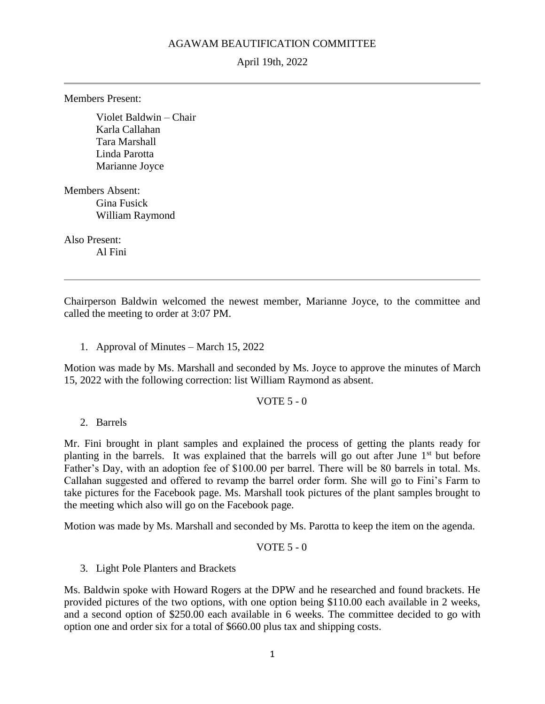## AGAWAM BEAUTIFICATION COMMITTEE

April 19th, 2022

Members Present:

Violet Baldwin – Chair Karla Callahan Tara Marshall Linda Parotta Marianne Joyce

Members Absent: Gina Fusick William Raymond

Also Present: Al Fini

Chairperson Baldwin welcomed the newest member, Marianne Joyce, to the committee and called the meeting to order at 3:07 PM.

1. Approval of Minutes – March 15, 2022

Motion was made by Ms. Marshall and seconded by Ms. Joyce to approve the minutes of March 15, 2022 with the following correction: list William Raymond as absent.

VOTE 5 - 0

2. Barrels

Mr. Fini brought in plant samples and explained the process of getting the plants ready for planting in the barrels. It was explained that the barrels will go out after June 1<sup>st</sup> but before Father's Day, with an adoption fee of \$100.00 per barrel. There will be 80 barrels in total. Ms. Callahan suggested and offered to revamp the barrel order form. She will go to Fini's Farm to take pictures for the Facebook page. Ms. Marshall took pictures of the plant samples brought to the meeting which also will go on the Facebook page.

Motion was made by Ms. Marshall and seconded by Ms. Parotta to keep the item on the agenda.

```
VOTE 5 - 0
```
3. Light Pole Planters and Brackets

Ms. Baldwin spoke with Howard Rogers at the DPW and he researched and found brackets. He provided pictures of the two options, with one option being \$110.00 each available in 2 weeks, and a second option of \$250.00 each available in 6 weeks. The committee decided to go with option one and order six for a total of \$660.00 plus tax and shipping costs.